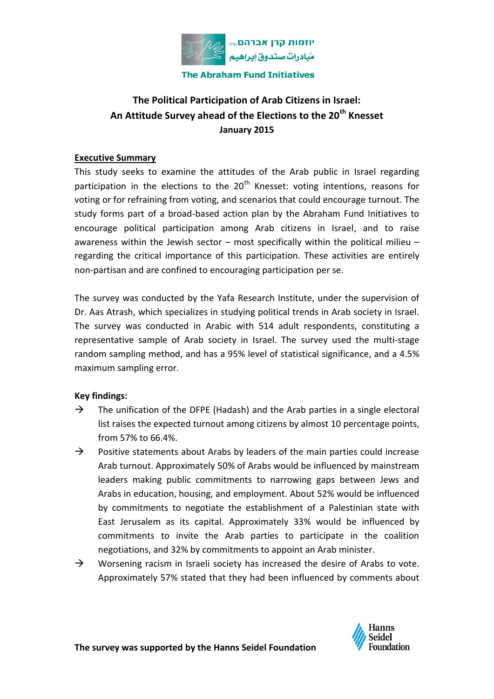

# **The Political Participation of Arab Citizens in Israel: An Attitude Survey ahead of the Elections to the 20th Knesset January 2015**

## **Executive Summary**

This study seeks to examine the attitudes of the Arab public in Israel regarding participation in the elections to the  $20<sup>th</sup>$  Knesset: voting intentions, reasons for voting or for refraining from voting, and scenarios that could encourage turnout. The study forms part of a broad-based action plan by the Abraham Fund Initiatives to encourage political participation among Arab citizens in Israel, and to raise awareness within the Jewish sector  $-$  most specifically within the political milieu  $$ regarding the critical importance of this participation. These activities are entirely non-partisan and are confined to encouraging participation per se.

The survey was conducted by the Yafa Research Institute, under the supervision of Dr. Aas Atrash, which specializes in studying political trends in Arab society in Israel. The survey was conducted in Arabic with 514 adult respondents, constituting a representative sample of Arab society in Israel. The survey used the multi-stage random sampling method, and has a 95% level of statistical significance, and a 4.5% maximum sampling error.

#### **Key findings:**

- $\rightarrow$  The unification of the DFPE (Hadash) and the Arab parties in a single electoral list raises the expected turnout among citizens by almost 10 percentage points, from 57% to 66.4%.
- $\rightarrow$  Positive statements about Arabs by leaders of the main parties could increase Arab turnout. Approximately 50% of Arabs would be influenced by mainstream leaders making public commitments to narrowing gaps between Jews and Arabs in education, housing, and employment. About 52% would be influenced by commitments to negotiate the establishment of a Palestinian state with East Jerusalem as its capital. Approximately 33% would be influenced by commitments to invite the Arab parties to participate in the coalition negotiations, and 32% by commitments to appoint an Arab minister.
- $\rightarrow$  Worsening racism in Israeli society has increased the desire of Arabs to vote. Approximately 57% stated that they had been influenced by comments about

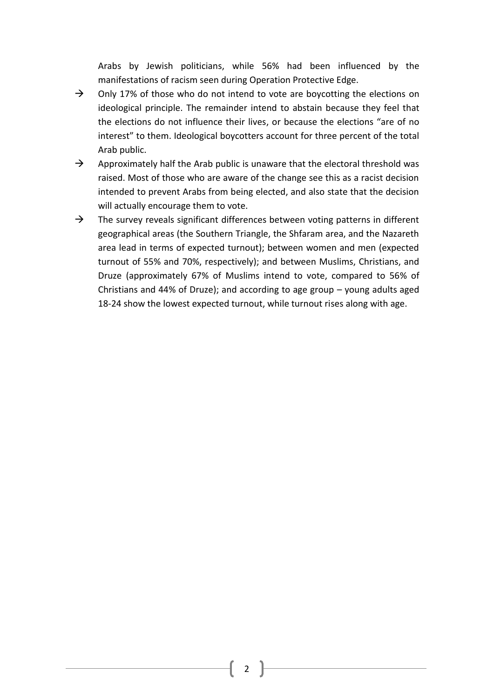Arabs by Jewish politicians, while 56% had been influenced by the manifestations of racism seen during Operation Protective Edge.

- $\rightarrow$  Only 17% of those who do not intend to vote are boycotting the elections on ideological principle. The remainder intend to abstain because they feel that the elections do not influence their lives, or because the elections "are of no interest" to them. Ideological boycotters account for three percent of the total Arab public.
- $\rightarrow$  Approximately half the Arab public is unaware that the electoral threshold was raised. Most of those who are aware of the change see this as a racist decision intended to prevent Arabs from being elected, and also state that the decision will actually encourage them to vote.
- $\rightarrow$  The survey reveals significant differences between voting patterns in different geographical areas (the Southern Triangle, the Shfaram area, and the Nazareth area lead in terms of expected turnout); between women and men (expected turnout of 55% and 70%, respectively); and between Muslims, Christians, and Druze (approximately 67% of Muslims intend to vote, compared to 56% of Christians and 44% of Druze); and according to age group – young adults aged 18-24 show the lowest expected turnout, while turnout rises along with age.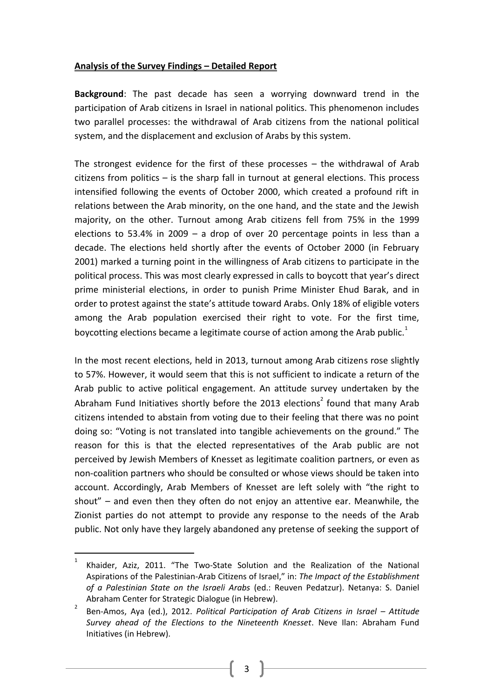#### **Analysis of the Survey Findings – Detailed Report**

**Background**: The past decade has seen a worrying downward trend in the participation of Arab citizens in Israel in national politics. This phenomenon includes two parallel processes: the withdrawal of Arab citizens from the national political system, and the displacement and exclusion of Arabs by this system.

The strongest evidence for the first of these processes – the withdrawal of Arab citizens from politics – is the sharp fall in turnout at general elections. This process intensified following the events of October 2000, which created a profound rift in relations between the Arab minority, on the one hand, and the state and the Jewish majority, on the other. Turnout among Arab citizens fell from 75% in the 1999 elections to 53.4% in 2009 – a drop of over 20 percentage points in less than a decade. The elections held shortly after the events of October 2000 (in February 2001) marked a turning point in the willingness of Arab citizens to participate in the political process. This was most clearly expressed in calls to boycott that year's direct prime ministerial elections, in order to punish Prime Minister Ehud Barak, and in order to protest against the state's attitude toward Arabs. Only 18% of eligible voters among the Arab population exercised their right to vote. For the first time, boycotting elections became a legitimate course of action among the Arab public. $1$ 

In the most recent elections, held in 2013, turnout among Arab citizens rose slightly to 57%. However, it would seem that this is not sufficient to indicate a return of the Arab public to active political engagement. An attitude survey undertaken by the Abraham Fund Initiatives shortly before the 2013 elections<sup>2</sup> found that many Arab citizens intended to abstain from voting due to their feeling that there was no point doing so: "Voting is not translated into tangible achievements on the ground." The reason for this is that the elected representatives of the Arab public are not perceived by Jewish Members of Knesset as legitimate coalition partners, or even as non-coalition partners who should be consulted or whose views should be taken into account. Accordingly, Arab Members of Knesset are left solely with "the right to shout" – and even then they often do not enjoy an attentive ear. Meanwhile, the Zionist parties do not attempt to provide any response to the needs of the Arab public. Not only have they largely abandoned any pretense of seeking the support of

 $\overline{a}$ 

<sup>1</sup> Khaider, Aziz, 2011. "The Two-State Solution and the Realization of the National Aspirations of the Palestinian-Arab Citizens of Israel," in: *The Impact of the Establishment of a Palestinian State on the Israeli Arabs* (ed.: Reuven Pedatzur). Netanya: S. Daniel Abraham Center for Strategic Dialogue (in Hebrew).

<sup>2</sup> Ben-Amos, Aya (ed.), 2012. *Political Participation of Arab Citizens in Israel - Attitude Survey ahead of the Elections to the Nineteenth Knesset*. Neve Ilan: Abraham Fund Initiatives (in Hebrew).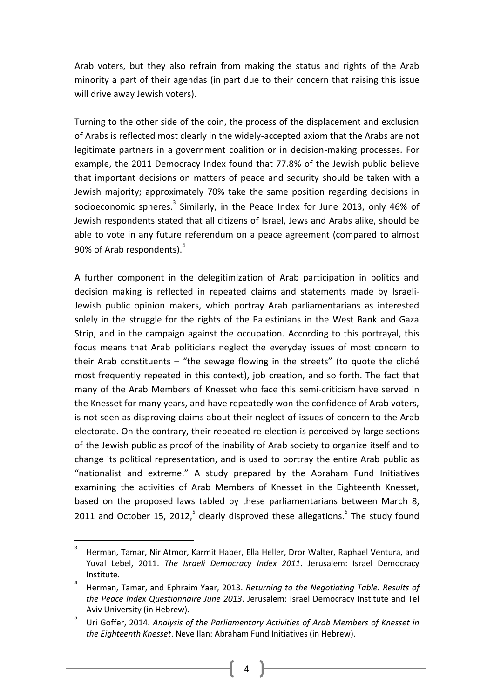Arab voters, but they also refrain from making the status and rights of the Arab minority a part of their agendas (in part due to their concern that raising this issue will drive away Jewish voters).

Turning to the other side of the coin, the process of the displacement and exclusion of Arabs is reflected most clearly in the widely-accepted axiom that the Arabs are not legitimate partners in a government coalition or in decision-making processes. For example, the 2011 Democracy Index found that 77.8% of the Jewish public believe that important decisions on matters of peace and security should be taken with a Jewish majority; approximately 70% take the same position regarding decisions in socioeconomic spheres.<sup>3</sup> Similarly, in the Peace Index for June 2013, only 46% of Jewish respondents stated that all citizens of Israel, Jews and Arabs alike, should be able to vote in any future referendum on a peace agreement (compared to almost 90% of Arab respondents).<sup>4</sup>

A further component in the delegitimization of Arab participation in politics and decision making is reflected in repeated claims and statements made by Israeli-Jewish public opinion makers, which portray Arab parliamentarians as interested solely in the struggle for the rights of the Palestinians in the West Bank and Gaza Strip, and in the campaign against the occupation. According to this portrayal, this focus means that Arab politicians neglect the everyday issues of most concern to their Arab constituents – "the sewage flowing in the streets" (to quote the cliché most frequently repeated in this context), job creation, and so forth. The fact that many of the Arab Members of Knesset who face this semi-criticism have served in the Knesset for many years, and have repeatedly won the confidence of Arab voters, is not seen as disproving claims about their neglect of issues of concern to the Arab electorate. On the contrary, their repeated re-election is perceived by large sections of the Jewish public as proof of the inability of Arab society to organize itself and to change its political representation, and is used to portray the entire Arab public as "nationalist and extreme." A study prepared by the Abraham Fund Initiatives examining the activities of Arab Members of Knesset in the Eighteenth Knesset, based on the proposed laws tabled by these parliamentarians between March 8, 2011 and October 15, 2012, $5$  clearly disproved these allegations. $6$  The study found

 $\overline{a}$ 

<sup>3</sup> Herman, Tamar, Nir Atmor, Karmit Haber, Ella Heller, Dror Walter, Raphael Ventura, and Yuval Lebel, 2011. *The Israeli Democracy Index 2011*. Jerusalem: Israel Democracy Institute.

<sup>4</sup> Herman, Tamar, and Ephraim Yaar, 2013. *Returning to the Negotiating Table: Results of the Peace Index Questionnaire June 2013*. Jerusalem: Israel Democracy Institute and Tel Aviv University (in Hebrew).

<sup>5</sup> Uri Goffer, 2014. *Analysis of the Parliamentary Activities of Arab Members of Knesset in the Eighteenth Knesset*. Neve Ilan: Abraham Fund Initiatives (in Hebrew).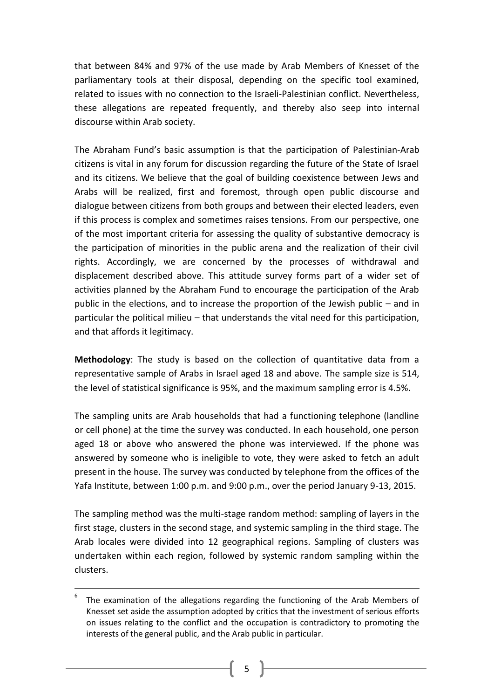that between 84% and 97% of the use made by Arab Members of Knesset of the parliamentary tools at their disposal, depending on the specific tool examined, related to issues with no connection to the Israeli-Palestinian conflict. Nevertheless, these allegations are repeated frequently, and thereby also seep into internal discourse within Arab society.

The Abraham Fund's basic assumption is that the participation of Palestinian-Arab citizens is vital in any forum for discussion regarding the future of the State of Israel and its citizens. We believe that the goal of building coexistence between Jews and Arabs will be realized, first and foremost, through open public discourse and dialogue between citizens from both groups and between their elected leaders, even if this process is complex and sometimes raises tensions. From our perspective, one of the most important criteria for assessing the quality of substantive democracy is the participation of minorities in the public arena and the realization of their civil rights. Accordingly, we are concerned by the processes of withdrawal and displacement described above. This attitude survey forms part of a wider set of activities planned by the Abraham Fund to encourage the participation of the Arab public in the elections, and to increase the proportion of the Jewish public – and in particular the political milieu – that understands the vital need for this participation, and that affords it legitimacy.

**Methodology**: The study is based on the collection of quantitative data from a representative sample of Arabs in Israel aged 18 and above. The sample size is 514, the level of statistical significance is 95%, and the maximum sampling error is 4.5%.

The sampling units are Arab households that had a functioning telephone (landline or cell phone) at the time the survey was conducted. In each household, one person aged 18 or above who answered the phone was interviewed. If the phone was answered by someone who is ineligible to vote, they were asked to fetch an adult present in the house. The survey was conducted by telephone from the offices of the Yafa Institute, between 1:00 p.m. and 9:00 p.m., over the period January 9-13, 2015.

The sampling method was the multi-stage random method: sampling of layers in the first stage, clusters in the second stage, and systemic sampling in the third stage. The Arab locales were divided into 12 geographical regions. Sampling of clusters was undertaken within each region, followed by systemic random sampling within the clusters.

**.** 

<sup>6</sup> The examination of the allegations regarding the functioning of the Arab Members of Knesset set aside the assumption adopted by critics that the investment of serious efforts on issues relating to the conflict and the occupation is contradictory to promoting the interests of the general public, and the Arab public in particular.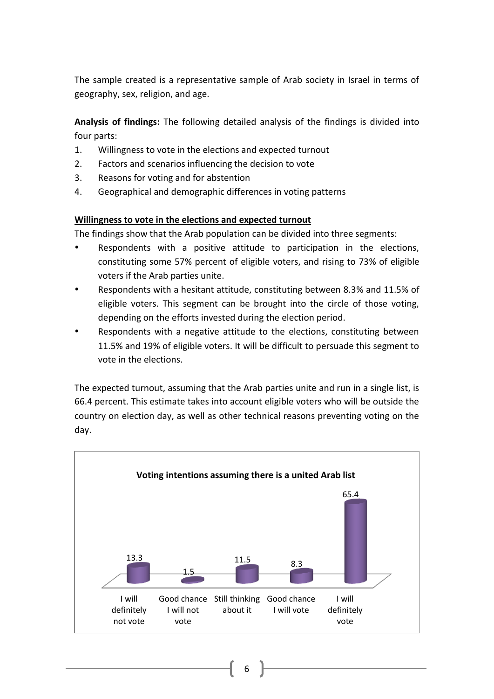The sample created is a representative sample of Arab society in Israel in terms of geography, sex, religion, and age.

**Analysis of findings:** The following detailed analysis of the findings is divided into four parts:

- 1. Willingness to vote in the elections and expected turnout
- 2. Factors and scenarios influencing the decision to vote
- 3. Reasons for voting and for abstention
- 4. Geographical and demographic differences in voting patterns

## **Willingness to vote in the elections and expected turnout**

The findings show that the Arab population can be divided into three segments:

- Respondents with a positive attitude to participation in the elections, constituting some 57% percent of eligible voters, and rising to 73% of eligible voters if the Arab parties unite.
- Respondents with a hesitant attitude, constituting between 8.3% and 11.5% of eligible voters. This segment can be brought into the circle of those voting, depending on the efforts invested during the election period.
- Respondents with a negative attitude to the elections, constituting between 11.5% and 19% of eligible voters. It will be difficult to persuade this segment to vote in the elections.

The expected turnout, assuming that the Arab parties unite and run in a single list, is 66.4 percent. This estimate takes into account eligible voters who will be outside the country on election day, as well as other technical reasons preventing voting on the day.

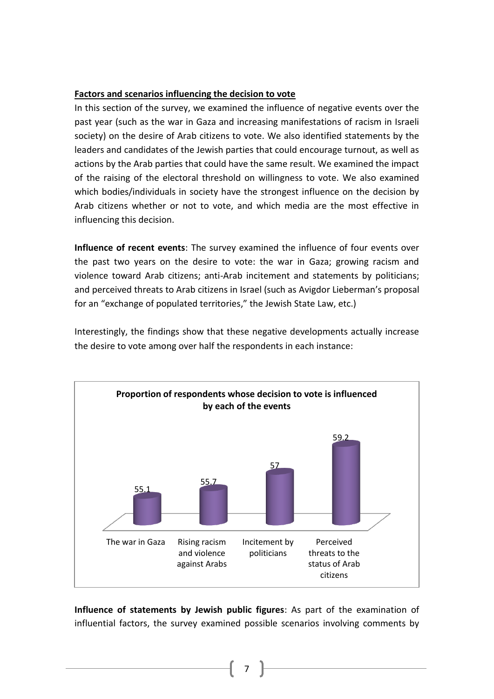## **Factors and scenarios influencing the decision to vote**

In this section of the survey, we examined the influence of negative events over the past year (such as the war in Gaza and increasing manifestations of racism in Israeli society) on the desire of Arab citizens to vote. We also identified statements by the leaders and candidates of the Jewish parties that could encourage turnout, as well as actions by the Arab parties that could have the same result. We examined the impact of the raising of the electoral threshold on willingness to vote. We also examined which bodies/individuals in society have the strongest influence on the decision by Arab citizens whether or not to vote, and which media are the most effective in influencing this decision.

**Influence of recent events**: The survey examined the influence of four events over the past two years on the desire to vote: the war in Gaza; growing racism and violence toward Arab citizens; anti-Arab incitement and statements by politicians; and perceived threats to Arab citizens in Israel (such as Avigdor Lieberman's proposal for an "exchange of populated territories," the Jewish State Law, etc.)

Interestingly, the findings show that these negative developments actually increase the desire to vote among over half the respondents in each instance:



**Influence of statements by Jewish public figures**: As part of the examination of influential factors, the survey examined possible scenarios involving comments by

7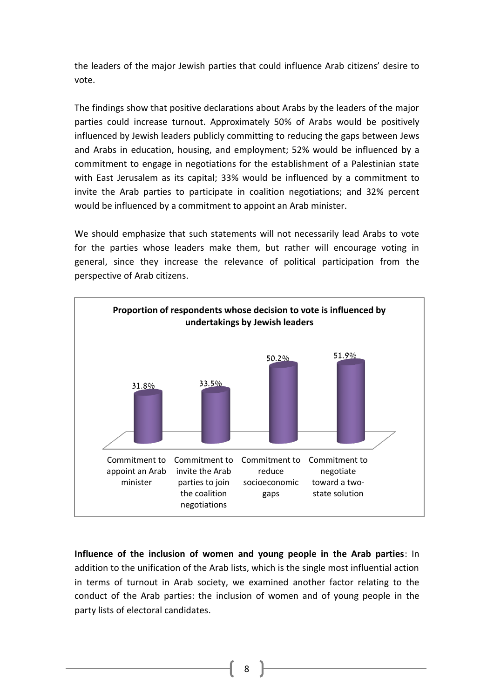the leaders of the major Jewish parties that could influence Arab citizens' desire to vote.

The findings show that positive declarations about Arabs by the leaders of the major parties could increase turnout. Approximately 50% of Arabs would be positively influenced by Jewish leaders publicly committing to reducing the gaps between Jews and Arabs in education, housing, and employment; 52% would be influenced by a commitment to engage in negotiations for the establishment of a Palestinian state with East Jerusalem as its capital; 33% would be influenced by a commitment to invite the Arab parties to participate in coalition negotiations; and 32% percent would be influenced by a commitment to appoint an Arab minister.

We should emphasize that such statements will not necessarily lead Arabs to vote for the parties whose leaders make them, but rather will encourage voting in general, since they increase the relevance of political participation from the perspective of Arab citizens.



**Influence of the inclusion of women and young people in the Arab parties**: In addition to the unification of the Arab lists, which is the single most influential action in terms of turnout in Arab society, we examined another factor relating to the conduct of the Arab parties: the inclusion of women and of young people in the party lists of electoral candidates.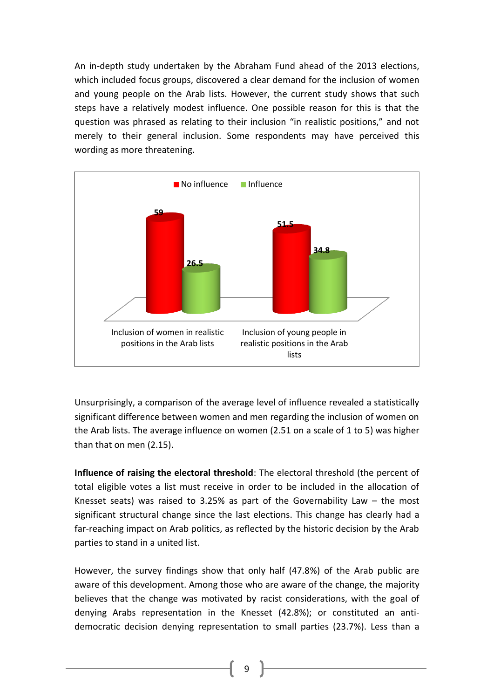An in-depth study undertaken by the Abraham Fund ahead of the 2013 elections, which included focus groups, discovered a clear demand for the inclusion of women and young people on the Arab lists. However, the current study shows that such steps have a relatively modest influence. One possible reason for this is that the question was phrased as relating to their inclusion "in realistic positions," and not merely to their general inclusion. Some respondents may have perceived this wording as more threatening.



Unsurprisingly, a comparison of the average level of influence revealed a statistically significant difference between women and men regarding the inclusion of women on the Arab lists. The average influence on women (2.51 on a scale of 1 to 5) was higher than that on men (2.15).

**Influence of raising the electoral threshold**: The electoral threshold (the percent of total eligible votes a list must receive in order to be included in the allocation of Knesset seats) was raised to 3.25% as part of the Governability Law  $-$  the most significant structural change since the last elections. This change has clearly had a far-reaching impact on Arab politics, as reflected by the historic decision by the Arab parties to stand in a united list.

However, the survey findings show that only half (47.8%) of the Arab public are aware of this development. Among those who are aware of the change, the majority believes that the change was motivated by racist considerations, with the goal of denying Arabs representation in the Knesset (42.8%); or constituted an antidemocratic decision denying representation to small parties (23.7%). Less than a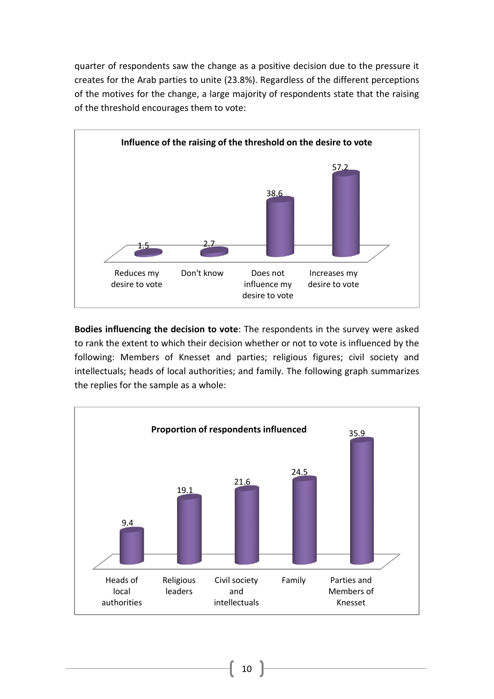quarter of respondents saw the change as a positive decision due to the pressure it creates for the Arab parties to unite (23.8%). Regardless of the different perceptions of the motives for the change, a large majority of respondents state that the raising of the threshold encourages them to vote:



**Bodies influencing the decision to vote**: The respondents in the survey were asked to rank the extent to which their decision whether or not to vote is influenced by the following: Members of Knesset and parties; religious figures; civil society and intellectuals; heads of local authorities; and family. The following graph summarizes the replies for the sample as a whole:

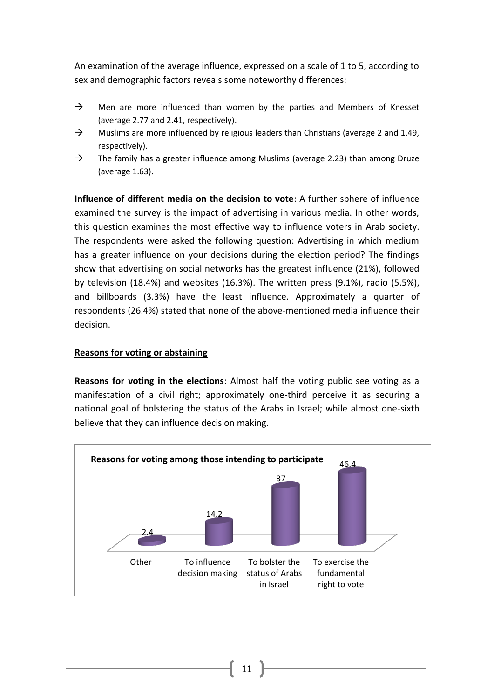An examination of the average influence, expressed on a scale of 1 to 5, according to sex and demographic factors reveals some noteworthy differences:

- $\rightarrow$  Men are more influenced than women by the parties and Members of Knesset (average 2.77 and 2.41, respectively).
- $\rightarrow$  Muslims are more influenced by religious leaders than Christians (average 2 and 1.49, respectively).
- $\rightarrow$  The family has a greater influence among Muslims (average 2.23) than among Druze (average 1.63).

**Influence of different media on the decision to vote**: A further sphere of influence examined the survey is the impact of advertising in various media. In other words, this question examines the most effective way to influence voters in Arab society. The respondents were asked the following question: Advertising in which medium has a greater influence on your decisions during the election period? The findings show that advertising on social networks has the greatest influence (21%), followed by television (18.4%) and websites (16.3%). The written press (9.1%), radio (5.5%), and billboards (3.3%) have the least influence. Approximately a quarter of respondents (26.4%) stated that none of the above-mentioned media influence their decision.

#### **Reasons for voting or abstaining**

**Reasons for voting in the elections**: Almost half the voting public see voting as a manifestation of a civil right; approximately one-third perceive it as securing a national goal of bolstering the status of the Arabs in Israel; while almost one-sixth believe that they can influence decision making.

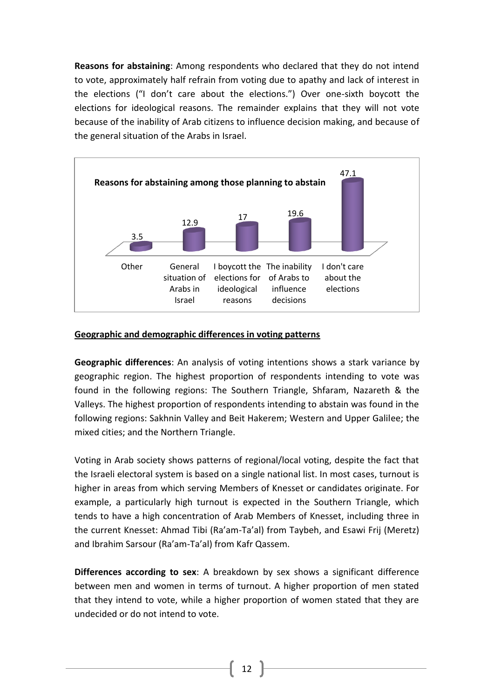**Reasons for abstaining**: Among respondents who declared that they do not intend to vote, approximately half refrain from voting due to apathy and lack of interest in the elections ("I don't care about the elections.") Over one-sixth boycott the elections for ideological reasons. The remainder explains that they will not vote because of the inability of Arab citizens to influence decision making, and because of the general situation of the Arabs in Israel.



## **Geographic and demographic differences in voting patterns**

**Geographic differences**: An analysis of voting intentions shows a stark variance by geographic region. The highest proportion of respondents intending to vote was found in the following regions: The Southern Triangle, Shfaram, Nazareth & the Valleys. The highest proportion of respondents intending to abstain was found in the following regions: Sakhnin Valley and Beit Hakerem; Western and Upper Galilee; the mixed cities; and the Northern Triangle.

Voting in Arab society shows patterns of regional/local voting, despite the fact that the Israeli electoral system is based on a single national list. In most cases, turnout is higher in areas from which serving Members of Knesset or candidates originate. For example, a particularly high turnout is expected in the Southern Triangle, which tends to have a high concentration of Arab Members of Knesset, including three in the current Knesset: Ahmad Tibi (Ra'am-Ta'al) from Taybeh, and Esawi Frij (Meretz) and Ibrahim Sarsour (Ra'am-Ta'al) from Kafr Qassem.

**Differences according to sex**: A breakdown by sex shows a significant difference between men and women in terms of turnout. A higher proportion of men stated that they intend to vote, while a higher proportion of women stated that they are undecided or do not intend to vote.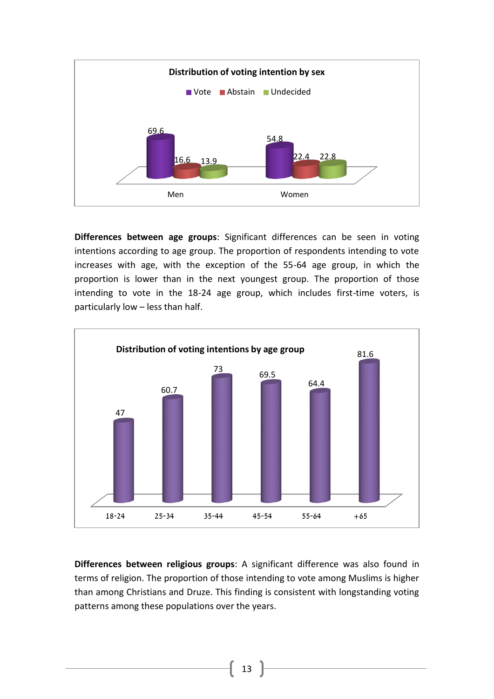

**Differences between age groups**: Significant differences can be seen in voting intentions according to age group. The proportion of respondents intending to vote increases with age, with the exception of the 55-64 age group, in which the proportion is lower than in the next youngest group. The proportion of those intending to vote in the 18-24 age group, which includes first-time voters, is particularly low – less than half.



**Differences between religious groups**: A significant difference was also found in terms of religion. The proportion of those intending to vote among Muslims is higher than among Christians and Druze. This finding is consistent with longstanding voting patterns among these populations over the years.